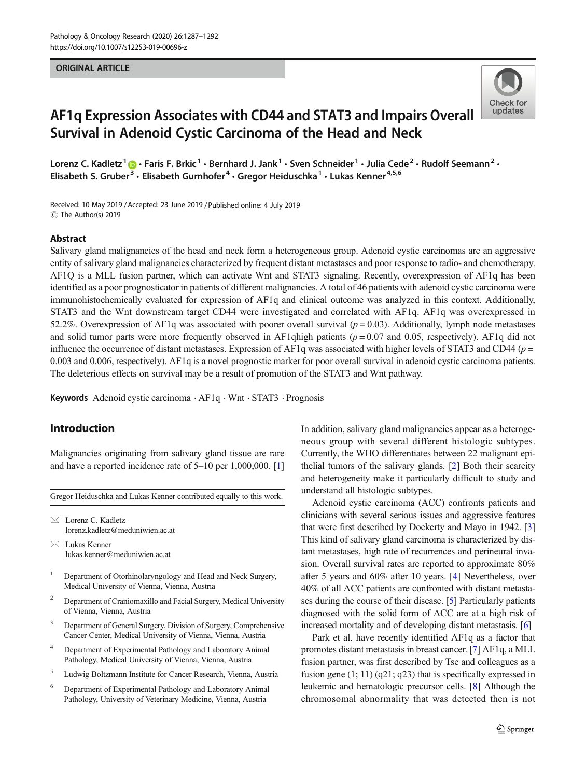#### ORIGINAL ARTICLE



# AF1q Expression Associates with CD44 and STAT3 and Impairs Overall Survival in Adenoid Cystic Carcinoma of the Head and Neck

Lorenz C. Kadletz  $1 \oplus \cdot$  Faris F. Brkic  $1 \cdot$  Bernhard J. Jank  $1 \cdot$  Sven Schneider  $1 \cdot$  Julia Cede  $2 \cdot$  Rudolf Seemann  $2 \cdot$ Elisabeth S. Gruber<sup>3</sup> · Elisabeth Gurnhofer<sup>4</sup> · Gregor Heiduschka<sup>1</sup> · Lukas Kenner<sup>4,5,6</sup>

Received: 10 May 2019 /Accepted: 23 June 2019 /Published online: 4 July 2019C The Author(s) 2019

#### Abstract

Salivary gland malignancies of the head and neck form a heterogeneous group. Adenoid cystic carcinomas are an aggressive entity of salivary gland malignancies characterized by frequent distant metastases and poor response to radio- and chemotherapy. AF1Q is a MLL fusion partner, which can activate Wnt and STAT3 signaling. Recently, overexpression of AF1q has been identified as a poor prognosticator in patients of different malignancies. A total of 46 patients with adenoid cystic carcinoma were immunohistochemically evaluated for expression of AF1q and clinical outcome was analyzed in this context. Additionally, STAT3 and the Wnt downstream target CD44 were investigated and correlated with AF1q. AF1q was overexpressed in 52.2%. Overexpression of AF1q was associated with poorer overall survival  $(p = 0.03)$ . Additionally, lymph node metastases and solid tumor parts were more frequently observed in AF1qhigh patients ( $p = 0.07$  and 0.05, respectively). AF1q did not influence the occurrence of distant metastases. Expression of AF1q was associated with higher levels of STAT3 and CD44 ( $p =$ 0.003 and 0.006, respectively). AF1q is a novel prognostic marker for poor overall survival in adenoid cystic carcinoma patients. The deleterious effects on survival may be a result of promotion of the STAT3 and Wnt pathway.

Keywords Adenoid cystic carcinoma · AF1q · Wnt · STAT3 · Prognosis

# Introduction

Malignancies originating from salivary gland tissue are rare and have a reported incidence rate of 5–10 per 1,000,000. [\[1\]](#page-5-0)

Gregor Heiduschka and Lukas Kenner contributed equally to this work.

 $\boxtimes$  Lorenz C. Kadletz [lorenz.kadletz@meduniwien.ac.at](mailto:lorenz.kadletz@meduniwien.ac.at)

 $\boxtimes$  Lukas Kenner [lukas.kenner@meduniwien.ac.at](mailto:lukas.kenner@meduniwien.ac.at)

- <sup>1</sup> Department of Otorhinolaryngology and Head and Neck Surgery, Medical University of Vienna, Vienna, Austria
- <sup>2</sup> Department of Craniomaxillo and Facial Surgery, Medical University of Vienna, Vienna, Austria
- <sup>3</sup> Department of General Surgery, Division of Surgery, Comprehensive Cancer Center, Medical University of Vienna, Vienna, Austria
- <sup>4</sup> Department of Experimental Pathology and Laboratory Animal Pathology, Medical University of Vienna, Vienna, Austria
- <sup>5</sup> Ludwig Boltzmann Institute for Cancer Research, Vienna, Austria
- <sup>6</sup> Department of Experimental Pathology and Laboratory Animal Pathology, University of Veterinary Medicine, Vienna, Austria

In addition, salivary gland malignancies appear as a heterogeneous group with several different histologic subtypes. Currently, the WHO differentiates between 22 malignant epithelial tumors of the salivary glands. [\[2](#page-5-0)] Both their scarcity and heterogeneity make it particularly difficult to study and understand all histologic subtypes.

Adenoid cystic carcinoma (ACC) confronts patients and clinicians with several serious issues and aggressive features that were first described by Dockerty and Mayo in 1942. [\[3](#page-5-0)] This kind of salivary gland carcinoma is characterized by distant metastases, high rate of recurrences and perineural invasion. Overall survival rates are reported to approximate 80% after 5 years and 60% after 10 years. [\[4](#page-5-0)] Nevertheless, over 40% of all ACC patients are confronted with distant metastases during the course of their disease. [[5](#page-5-0)] Particularly patients diagnosed with the solid form of ACC are at a high risk of increased mortality and of developing distant metastasis. [\[6](#page-5-0)]

Park et al. have recently identified AF1q as a factor that promotes distant metastasis in breast cancer. [\[7](#page-5-0)] AF1q, a MLL fusion partner, was first described by Tse and colleagues as a fusion gene (1; 11) (q21; q23) that is specifically expressed in leukemic and hematologic precursor cells. [[8](#page-5-0)] Although the chromosomal abnormality that was detected then is not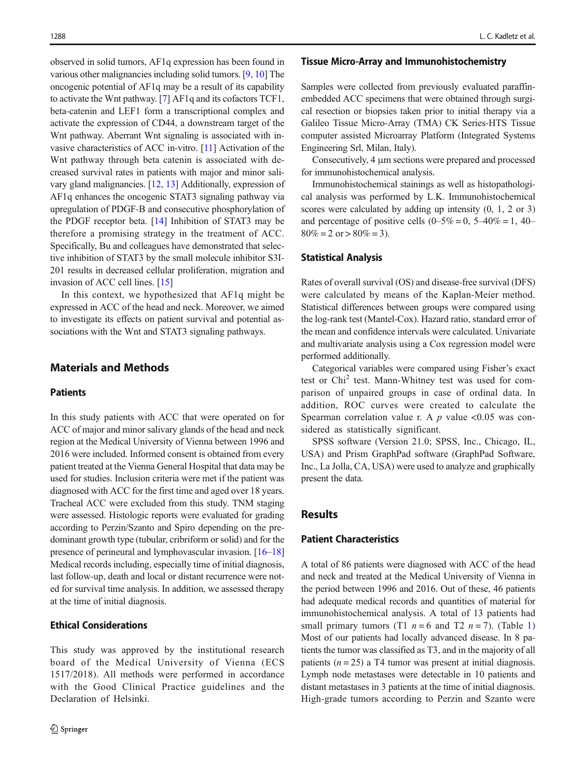observed in solid tumors, AF1q expression has been found in various other malignancies including solid tumors. [[9,](#page-5-0) [10\]](#page-5-0) The oncogenic potential of AF1q may be a result of its capability to activate the Wnt pathway. [\[7\]](#page-5-0) AF1q and its cofactors TCF1, beta-catenin and LEF1 form a transcriptional complex and activate the expression of CD44, a downstream target of the Wnt pathway. Aberrant Wnt signaling is associated with invasive characteristics of ACC in-vitro. [\[11\]](#page-5-0) Activation of the Wnt pathway through beta catenin is associated with decreased survival rates in patients with major and minor salivary gland malignancies. [[12,](#page-5-0) [13](#page-5-0)] Additionally, expression of AF1q enhances the oncogenic STAT3 signaling pathway via upregulation of PDGF-B and consecutive phosphorylation of the PDGF receptor beta. [[14\]](#page-5-0) Inhibition of STAT3 may be therefore a promising strategy in the treatment of ACC. Specifically, Bu and colleagues have demonstrated that selective inhibition of STAT3 by the small molecule inhibitor S3I-201 results in decreased cellular proliferation, migration and invasion of ACC cell lines. [[15\]](#page-5-0)

In this context, we hypothesized that AF1q might be expressed in ACC of the head and neck. Moreover, we aimed to investigate its effects on patient survival and potential associations with the Wnt and STAT3 signaling pathways.

# Materials and Methods

## **Patients**

In this study patients with ACC that were operated on for ACC of major and minor salivary glands of the head and neck region at the Medical University of Vienna between 1996 and 2016 were included. Informed consent is obtained from every patient treated at the Vienna General Hospital that data may be used for studies. Inclusion criteria were met if the patient was diagnosed with ACC for the first time and aged over 18 years. Tracheal ACC were excluded from this study. TNM staging were assessed. Histologic reports were evaluated for grading according to Perzin/Szanto and Spiro depending on the predominant growth type (tubular, cribriform or solid) and for the presence of perineural and lymphovascular invasion. [\[16](#page-5-0)–[18\]](#page-5-0) Medical records including, especially time of initial diagnosis, last follow-up, death and local or distant recurrence were noted for survival time analysis. In addition, we assessed therapy at the time of initial diagnosis.

## Ethical Considerations

This study was approved by the institutional research board of the Medical University of Vienna (ECS 1517/2018). All methods were performed in accordance with the Good Clinical Practice guidelines and the Declaration of Helsinki.

#### Tissue Micro-Array and Immunohistochemistry

Samples were collected from previously evaluated paraffinembedded ACC specimens that were obtained through surgical resection or biopsies taken prior to initial therapy via a Galileo Tissue Micro-Array (TMA) CK Series-HTS Tissue computer assisted Microarray Platform (Integrated Systems Engineering Srl, Milan, Italy).

Consecutively, 4 μm sections were prepared and processed for immunohistochemical analysis.

Immunohistochemical stainings as well as histopathological analysis was performed by L.K. Immunohistochemical scores were calculated by adding up intensity  $(0, 1, 2 \text{ or } 3)$ and percentage of positive cells  $(0-5\% = 0, 5-40\% = 1, 40 80\% = 2$  or  $> 80\% = 3$ ).

## Statistical Analysis

Rates of overall survival (OS) and disease-free survival (DFS) were calculated by means of the Kaplan-Meier method. Statistical differences between groups were compared using the log-rank test (Mantel-Cox). Hazard ratio, standard error of the mean and confidence intervals were calculated. Univariate and multivariate analysis using a Cox regression model were performed additionally.

Categorical variables were compared using Fisher's exact test or Chi<sup>2</sup> test. Mann-Whitney test was used for comparison of unpaired groups in case of ordinal data. In addition, ROC curves were created to calculate the Spearman correlation value r. A  $p$  value <0.05 was considered as statistically significant.

SPSS software (Version 21.0; SPSS, Inc., Chicago, IL, USA) and Prism GraphPad software (GraphPad Software, Inc., La Jolla, CA, USA) were used to analyze and graphically present the data.

## Results

#### Patient Characteristics

A total of 86 patients were diagnosed with ACC of the head and neck and treated at the Medical University of Vienna in the period between 1996 and 2016. Out of these, 46 patients had adequate medical records and quantities of material for immunohistochemical analysis. A total of 13 patients had small primary tumors (T[1](#page-2-0)  $n = 6$  and T2  $n = 7$ ). (Table 1) Most of our patients had locally advanced disease. In 8 patients the tumor was classified as T3, and in the majority of all patients ( $n = 25$ ) a T4 tumor was present at initial diagnosis. Lymph node metastases were detectable in 10 patients and distant metastases in 3 patients at the time of initial diagnosis. High-grade tumors according to Perzin and Szanto were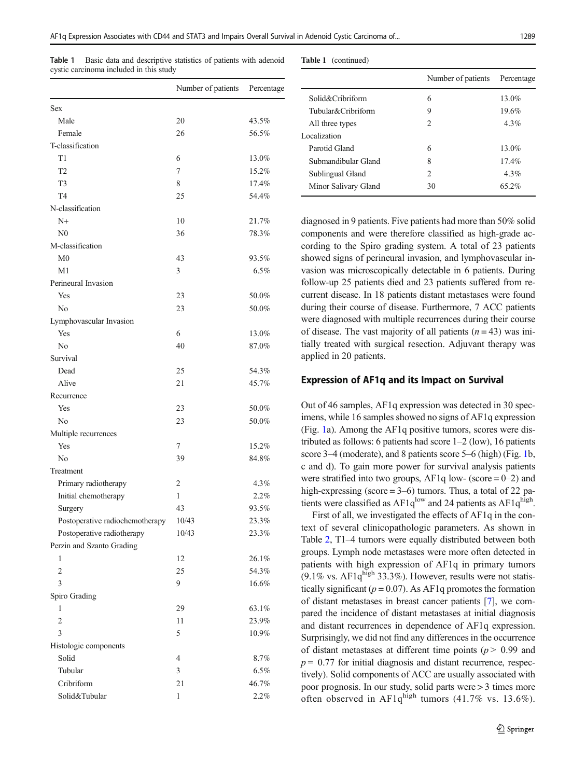<span id="page-2-0"></span>Table 1 Basic data and descriptive statistics of patients with adenoid cyst

|                                 | Number of patients | Percentage     |  |
|---------------------------------|--------------------|----------------|--|
|                                 |                    |                |  |
| <b>Sex</b><br>Male              | 20                 | 43.5%          |  |
| Female                          | 26                 | 56.5%          |  |
| T-classification                |                    |                |  |
| T1                              | 6                  | 13.0%          |  |
| T <sub>2</sub>                  | 7                  | 15.2%          |  |
| T <sub>3</sub>                  | 8                  | 17.4%          |  |
| T <sub>4</sub>                  | 25                 | 54.4%          |  |
| N-classification                |                    |                |  |
| $N+$                            | 10                 |                |  |
| $_{\rm N0}$                     | 36                 | 21.7%<br>78.3% |  |
| M-classification                |                    |                |  |
| M <sub>0</sub>                  | 43                 | 93.5%          |  |
| M1                              | 3                  | 6.5%           |  |
|                                 |                    |                |  |
| Perineural Invasion             |                    |                |  |
| Yes                             | 23                 | 50.0%          |  |
| No                              | 23                 | 50.0%          |  |
| Lymphovascular Invasion         |                    |                |  |
| Yes                             | 6                  | 13.0%          |  |
| No                              | 40                 | 87.0%          |  |
| Survival                        |                    |                |  |
| Dead                            | 25                 | 54.3%          |  |
| Alive                           | 21                 | 45.7%          |  |
| Recurrence                      |                    |                |  |
| Yes                             | 23                 | 50.0%          |  |
| No                              | 23                 | 50.0%          |  |
| Multiple recurrences            |                    |                |  |
| Yes                             | 7                  | 15.2%          |  |
| No                              | 39                 | 84.8%          |  |
| Treatment                       |                    |                |  |
| Primary radiotherapy            | 2                  | 4.3%           |  |
| Initial chemotherapy            | 1                  | 2.2%           |  |
| Surgery                         | 43                 | 93.5%          |  |
| Postoperative radiochemotherapy | 10/43              | 23.3%          |  |
| Postoperative radiotherapy      | 10/43              | 23.3%          |  |
| Perzin and Szanto Grading       |                    |                |  |
| 1                               | 12                 | 26.1%          |  |
| $\overline{2}$                  | 25                 | 54.3%          |  |
| 3                               | 9                  | 16.6%          |  |
| Spiro Grading                   |                    |                |  |
| 1                               | 29                 | 63.1%          |  |
| $\overline{c}$                  | 11                 | 23.9%          |  |
| 3                               | 5                  | 10.9%          |  |
| Histologic components           |                    |                |  |
| Solid                           | $\overline{4}$     | 8.7%           |  |
| Tubular                         | 3                  | 6.5%           |  |

Cribriform 21 46.7% Solid&Tubular 1 2.2%

Table 1 (continued)

|                      | Number of patients | Percentage |
|----------------------|--------------------|------------|
| Solid&Cribriform     | 6                  | $13.0\%$   |
| Tubular&Cribriform   | 9                  | 19.6%      |
| All three types      | $\mathfrak{D}$     | $4.3\%$    |
| Localization         |                    |            |
| Parotid Gland        | 6                  | $13.0\%$   |
| Submandibular Gland  | 8                  | $17.4\%$   |
| Sublingual Gland     | $\mathfrak{D}$     | $4.3\%$    |
| Minor Salivary Gland | 30                 | 65.2%      |

diagnosed in 9 patients. Five patients had more than 50% solid components and were therefore classified as high-grade according to the Spiro grading system. A total of 23 patients showed signs of perineural invasion, and lymphovascular invasion was microscopically detectable in 6 patients. During follow-up 25 patients died and 23 patients suffered from recurrent disease. In 18 patients distant metastases were found during their course of disease. Furthermore, 7 ACC patients were diagnosed with multiple recurrences during their course of disease. The vast majority of all patients  $(n = 43)$  was initially treated with surgical resection. Adjuvant therapy was applied in 20 patients.

## Expression of AF1q and its Impact on Survival

Out of 46 samples, AF1q expression was detected in 30 specimens, while 16 samples showed no signs of AF1q expression (Fig. [1](#page-3-0)a). Among the AF1q positive tumors, scores were distributed as follows: 6 patients had score  $1-2$  (low), 16 patients score 3–4 (moderate), and 8 patients score 5–6 (high) (Fig. [1b](#page-3-0), c and d). To gain more power for survival analysis patients were stratified into two groups, AF1q low- (score  $= 0-2$ ) and high-expressing (score  $= 3-6$ ) tumors. Thus, a total of 22 patients were classified as  $AF1q^{low}$  and 24 patients as  $AF1q^{high}$ .

First of all, we investigated the effects of AF1q in the context of several clinicopathologic parameters. As shown in Table [2](#page-3-0), T1–4 tumors were equally distributed between both groups. Lymph node metastases were more often detected in patients with high expression of AF1q in primary tumors  $(9.1\% \text{ vs. } AF1q^{\text{high}} 33.3\%)$ . However, results were not statistically significant ( $p = 0.07$ ). As AF1q promotes the formation of distant metastases in breast cancer patients [\[7](#page-5-0)], we compared the incidence of distant metastases at initial diagnosis and distant recurrences in dependence of AF1q expression. Surprisingly, we did not find any differences in the occurrence of distant metastases at different time points ( $p > 0.99$  and  $p = 0.77$  for initial diagnosis and distant recurrence, respectively). Solid components of ACC are usually associated with poor prognosis. In our study, solid parts were > 3 times more often observed in AF1 $q^{\text{high}}$  tumors (41.7% vs. 13.6%).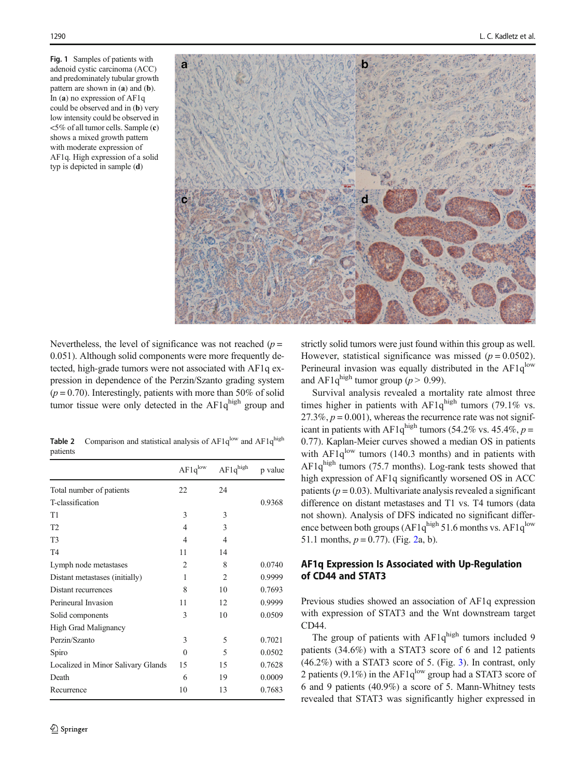<span id="page-3-0"></span>Fig. 1 Samples of patients with adenoid cystic carcinoma (ACC) and predominately tubular growth pattern are shown in (a) and (b). In (a) no expression of AF1q could be observed and in (b) very low intensity could be observed in <5% of all tumor cells. Sample (c) shows a mixed growth pattern with moderate expression of AF1q. High expression of a solid typ is depicted in sample (d)



Nevertheless, the level of significance was not reached  $(p =$ 0.051). Although solid components were more frequently detected, high-grade tumors were not associated with AF1q expression in dependence of the Perzin/Szanto grading system  $(p = 0.70)$ . Interestingly, patients with more than 50% of solid tumor tissue were only detected in the  $AF1q^{high}$  group and

**Table 2** Comparison and statistical analysis of  $AF1q^{low}$  and  $AF1q^{high}$ patients

|                                    | $AF1q^{low}$   | $AF1q^{high}$  | p value |
|------------------------------------|----------------|----------------|---------|
| Total number of patients           | 22             | 24             |         |
| T-classification                   |                |                | 0.9368  |
| T1                                 | 3              | 3              |         |
| T <sub>2</sub>                     | 4              | 3              |         |
| T <sub>3</sub>                     | 4              | 4              |         |
| T <sub>4</sub>                     | 11             | 14             |         |
| Lymph node metastases              | $\overline{2}$ | 8              | 0.0740  |
| Distant metastases (initially)     | 1              | $\overline{2}$ | 0.9999  |
| Distant recurrences                | 8              | 10             | 0.7693  |
| Perineural Invasion                | 11             | 12             | 0.9999  |
| Solid components                   | 3              | 10             | 0.0509  |
| <b>High Grad Malignancy</b>        |                |                |         |
| Perzin/Szanto                      | 3              | 5              | 0.7021  |
| Spiro                              | $\Omega$       | 5              | 0.0502  |
| Localized in Minor Salivary Glands | 15             | 15             | 0.7628  |
| Death                              | 6              | 19             | 0.0009  |
| Recurrence                         | 10             | 13             | 0.7683  |

strictly solid tumors were just found within this group as well. However, statistical significance was missed ( $p = 0.0502$ ). Perineural invasion was equally distributed in the  $AF1q$ <sup>low</sup> and AF1q<sup>high</sup> tumor group ( $p > 0.99$ ).

Survival analysis revealed a mortality rate almost three times higher in patients with  $AF1q^{high}$  tumors (79.1% vs. 27.3%,  $p = 0.001$ ), whereas the recurrence rate was not significant in patients with AF1q<sup>high</sup> tumors (54.2% vs. 45.4%,  $p =$ 0.77). Kaplan-Meier curves showed a median OS in patients with  $AF1q^{low}$  tumors (140.3 months) and in patients with  $AF1q^{high}$  tumors (75.7 months). Log-rank tests showed that high expression of AF1q significantly worsened OS in ACC patients ( $p = 0.03$ ). Multivariate analysis revealed a significant difference on distant metastases and T1 vs. T4 tumors (data not shown). Analysis of DFS indicated no significant difference between both groups ( $AF1q^{high} 51.6$  months vs.  $AF1q^{low}$ 51.1 months,  $p = 0.77$ ). (Fig. [2](#page-4-0)a, b).

## AF1q Expression Is Associated with Up-Regulation of CD44 and STAT3

Previous studies showed an association of AF1q expression with expression of STAT3 and the Wnt downstream target CD44.

The group of patients with  $AF1q^{high}$  tumors included 9 patients (34.6%) with a STAT3 score of 6 and 12 patients (46.2%) with a STAT3 score of 5. (Fig. [3\)](#page-4-0). In contrast, only 2 patients (9.1%) in the AF1 $q^{low}$  group had a STAT3 score of 6 and 9 patients (40.9%) a score of 5. Mann-Whitney tests revealed that STAT3 was significantly higher expressed in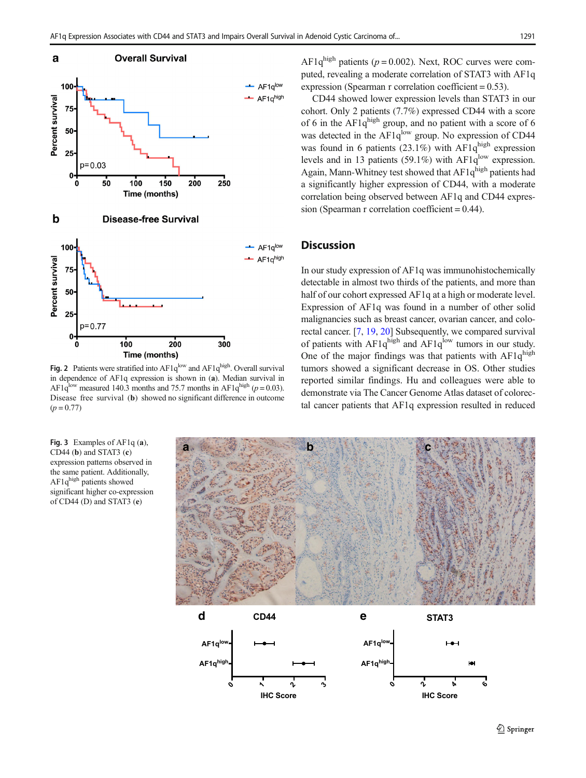<span id="page-4-0"></span>

Fig. 2 Patients were stratified into  $AF1q^{low}$  and  $AF1q^{high}$ . Overall survival in dependence of AF1q expression is shown in (a). Median survival in AF1q<sup>low</sup> measured 140.3 months and 75.7 months in AF1q<sup>high</sup> ( $p = 0.03$ ). Disease free survival (b) showed no significant difference in outcome  $(p = 0.77)$ 

Fig. 3 Examples of AF1q (a), CD44 (b) and STAT3 (c) expression patterns observed in the same patient. Additionally, AF1q<sup>high</sup> patients showed significant higher co-expression of CD44 (D) and STAT3 (e)

AF1 $q^{\text{high}}$  patients ( $p = 0.002$ ). Next, ROC curves were computed, revealing a moderate correlation of STAT3 with AF1q expression (Spearman r correlation coefficient  $= 0.53$ ).

CD44 showed lower expression levels than STAT3 in our cohort. Only 2 patients (7.7%) expressed CD44 with a score of 6 in the AF1q<sup>high</sup> group, and no patient with a score of 6 was detected in the AF1q<sup>low</sup> group. No expression of CD44 was found in 6 patients  $(23.1\%)$  with AF1q<sup>high</sup> expression levels and in 13 patients (59.1%) with AF1 $q^{\text{low}}$  expression. Again, Mann-Whitney test showed that  $AF1q^{high}$  patients had a significantly higher expression of CD44, with a moderate correlation being observed between AF1q and CD44 expression (Spearman r correlation coefficient = 0.44).

## **Discussion**

In our study expression of AF1q was immunohistochemically detectable in almost two thirds of the patients, and more than half of our cohort expressed AF1q at a high or moderate level. Expression of AF1q was found in a number of other solid malignancies such as breast cancer, ovarian cancer, and colorectal cancer. [\[7](#page-5-0), [19,](#page-5-0) [20\]](#page-5-0) Subsequently, we compared survival of patients with  $AF1q^{high}$  and  $AF1q^{low}$  tumors in our study. One of the major findings was that patients with  $AF1q<sup>high</sup>$ tumors showed a significant decrease in OS. Other studies reported similar findings. Hu and colleagues were able to demonstrate via The Cancer Genome Atlas dataset of colorectal cancer patients that AF1q expression resulted in reduced